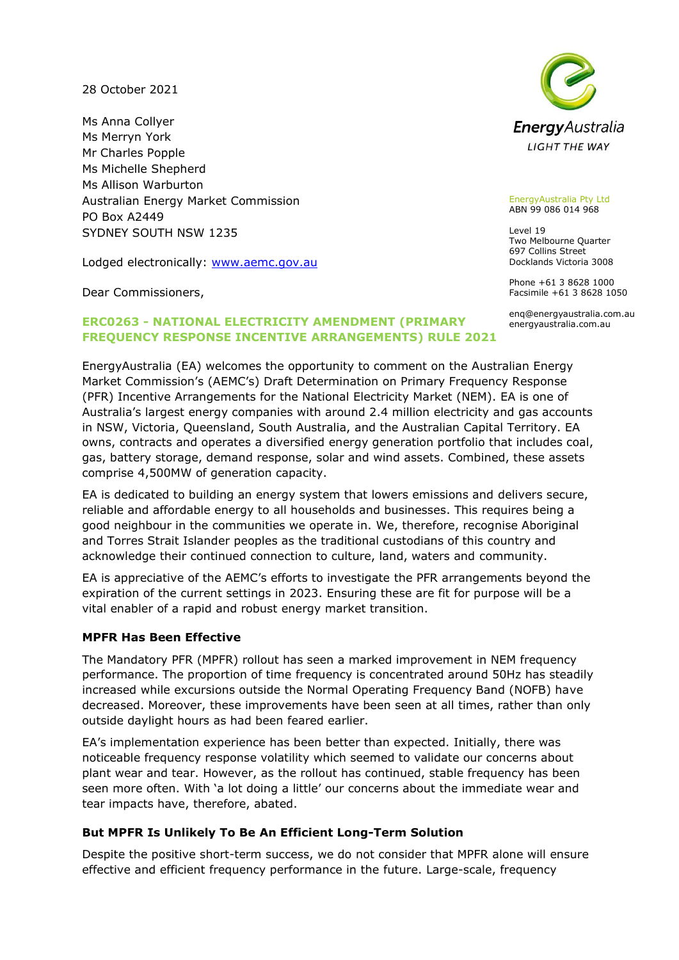28 October 2021

Ms Anna Collyer Ms Merryn York Mr Charles Popple Ms Michelle Shepherd Ms Allison Warburton Australian Energy Market Commission PO Box A2449 SYDNEY SOUTH NSW 1235

Lodged electronically: [www.aemc.gov.au](http://www.aemc.gov.au/)

Dear Commissioners,



EnergyAustralia Pty Ltd ABN 99 086 014 968

Level 19 Two Melbourne Quarter 697 Collins Street Docklands Victoria 3008

Phone +61 3 8628 1000 Facsimile +61 3 8628 1050

enq@energyaustralia.com.au energyaustralia.com.au

### **ERC0263 - NATIONAL ELECTRICITY AMENDMENT (PRIMARY FREQUENCY RESPONSE INCENTIVE ARRANGEMENTS) RULE 2021**

EnergyAustralia (EA) welcomes the opportunity to comment on the Australian Energy Market Commission's (AEMC's) Draft Determination on Primary Frequency Response (PFR) Incentive Arrangements for the National Electricity Market (NEM). EA is one of Australia's largest energy companies with around 2.4 million electricity and gas accounts in NSW, Victoria, Queensland, South Australia, and the Australian Capital Territory. EA owns, contracts and operates a diversified energy generation portfolio that includes coal, gas, battery storage, demand response, solar and wind assets. Combined, these assets comprise 4,500MW of generation capacity.

EA is dedicated to building an energy system that lowers emissions and delivers secure, reliable and affordable energy to all households and businesses. This requires being a good neighbour in the communities we operate in. We, therefore, recognise Aboriginal and Torres Strait Islander peoples as the traditional custodians of this country and acknowledge their continued connection to culture, land, waters and community.

EA is appreciative of the AEMC's efforts to investigate the PFR arrangements beyond the expiration of the current settings in 2023. Ensuring these are fit for purpose will be a vital enabler of a rapid and robust energy market transition.

#### **MPFR Has Been Effective**

The Mandatory PFR (MPFR) rollout has seen a marked improvement in NEM frequency performance. The proportion of time frequency is concentrated around 50Hz has steadily increased while excursions outside the Normal Operating Frequency Band (NOFB) have decreased. Moreover, these improvements have been seen at all times, rather than only outside daylight hours as had been feared earlier.

EA's implementation experience has been better than expected. Initially, there was noticeable frequency response volatility which seemed to validate our concerns about plant wear and tear. However, as the rollout has continued, stable frequency has been seen more often. With 'a lot doing a little' our concerns about the immediate wear and tear impacts have, therefore, abated.

#### **But MPFR Is Unlikely To Be An Efficient Long-Term Solution**

Despite the positive short-term success, we do not consider that MPFR alone will ensure effective and efficient frequency performance in the future. Large-scale, frequency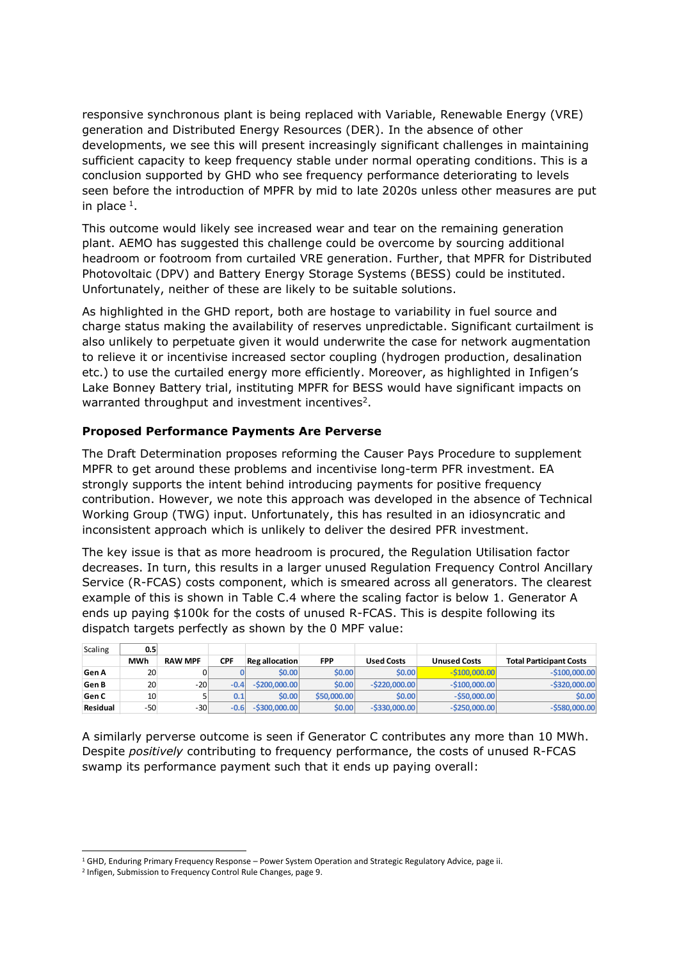responsive synchronous plant is being replaced with Variable, Renewable Energy (VRE) generation and Distributed Energy Resources (DER). In the absence of other developments, we see this will present increasingly significant challenges in maintaining sufficient capacity to keep frequency stable under normal operating conditions. This is a conclusion supported by GHD who see frequency performance deteriorating to levels seen before the introduction of MPFR by mid to late 2020s unless other measures are put in place  $^1$ .

This outcome would likely see increased wear and tear on the remaining generation plant. AEMO has suggested this challenge could be overcome by sourcing additional headroom or footroom from curtailed VRE generation. Further, that MPFR for Distributed Photovoltaic (DPV) and Battery Energy Storage Systems (BESS) could be instituted. Unfortunately, neither of these are likely to be suitable solutions.

As highlighted in the GHD report, both are hostage to variability in fuel source and charge status making the availability of reserves unpredictable. Significant curtailment is also unlikely to perpetuate given it would underwrite the case for network augmentation to relieve it or incentivise increased sector coupling (hydrogen production, desalination etc.) to use the curtailed energy more efficiently. Moreover, as highlighted in Infigen's Lake Bonney Battery trial, instituting MPFR for BESS would have significant impacts on warranted throughput and investment incentives<sup>2</sup>.

#### **Proposed Performance Payments Are Perverse**

The Draft Determination proposes reforming the Causer Pays Procedure to supplement MPFR to get around these problems and incentivise long-term PFR investment. EA strongly supports the intent behind introducing payments for positive frequency contribution. However, we note this approach was developed in the absence of Technical Working Group (TWG) input. Unfortunately, this has resulted in an idiosyncratic and inconsistent approach which is unlikely to deliver the desired PFR investment.

The key issue is that as more headroom is procured, the Regulation Utilisation factor decreases. In turn, this results in a larger unused Regulation Frequency Control Ancillary Service (R-FCAS) costs component, which is smeared across all generators. The clearest example of this is shown in Table C.4 where the scaling factor is below 1. Generator A ends up paying \$100k for the costs of unused R-FCAS. This is despite following its dispatch targets perfectly as shown by the 0 MPF value:

| Scaling  | 0.5 <sub>1</sub> |                |            |                  |             |                   |                     |                                |
|----------|------------------|----------------|------------|------------------|-------------|-------------------|---------------------|--------------------------------|
|          | <b>MWh</b>       | <b>RAW MPF</b> | <b>CPF</b> | Reg allocation   | <b>FPP</b>  | <b>Used Costs</b> | <b>Unused Costs</b> | <b>Total Participant Costs</b> |
| Gen A    | 20               |                |            | <b>\$0.00</b>    | \$0.00      | \$0.00            | $-5100,000,00$      | $-5100,000,00$                 |
| Gen B    | 20               | $-20$          | $-0.4$     | -\$200.000.00l   | \$0.00      | $-S220.000.00$    | $-S100,000,00$      | $-$ \$320,000,00               |
| Gen C    | 10               |                | 0.1        | <b>\$0.00</b>    | \$50,000,00 | <b>\$0.00</b>     | $-S50,000,00$       | <b>\$0.00</b>                  |
| Residual | $-50$            | -301           | $-0.6$     | $-$ \$300,000,00 | \$0.00      | $-S330.000.00$    | $-S250,000,00$      | $-$ \$580,000.00               |

A similarly perverse outcome is seen if Generator C contributes any more than 10 MWh. Despite *positively* contributing to frequency performance, the costs of unused R-FCAS swamp its performance payment such that it ends up paying overall:

<sup>&</sup>lt;sup>1</sup> GHD, Enduring Primary Frequency Response – Power System Operation and Strategic Regulatory Advice, page ii.

<sup>2</sup> Infigen, Submission to Frequency Control Rule Changes, page 9.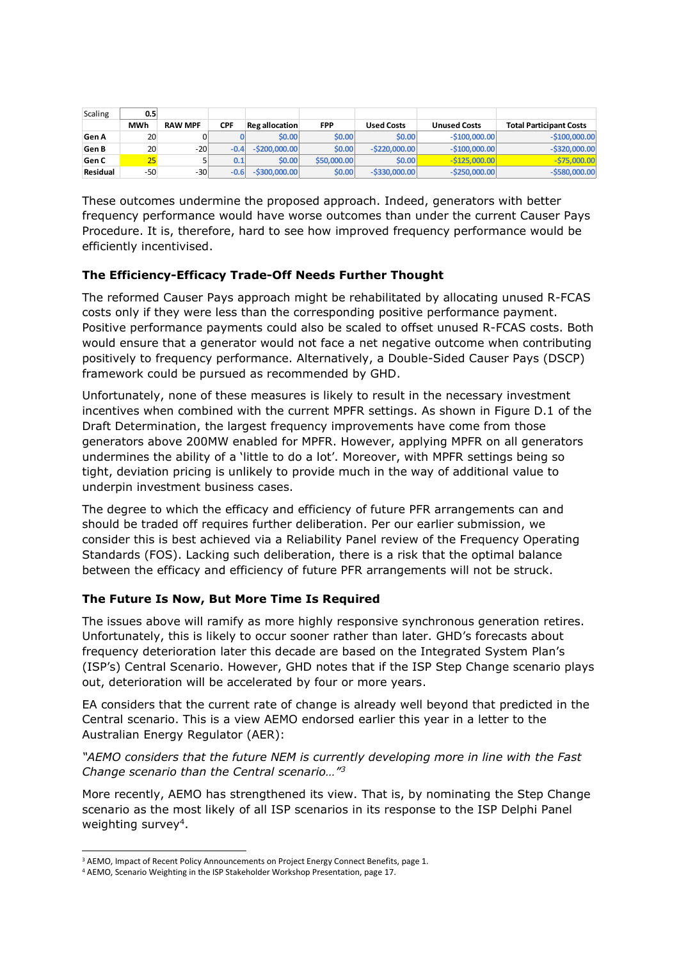| Scaling  | 0.5 <sub>1</sub> |                |        |                      |               |                   |                     |                                |
|----------|------------------|----------------|--------|----------------------|---------------|-------------------|---------------------|--------------------------------|
|          | <b>MWh</b>       | <b>RAW MPF</b> | CPF    | <b>Regallocation</b> | <b>FPP</b>    | <b>Used Costs</b> | <b>Unused Costs</b> | <b>Total Participant Costs</b> |
| Gen A    | 20               |                |        | <b>\$0.00</b>        | <b>\$0.00</b> | <b>\$0.00</b>     | $-S100,000,00$      | $-S100.000.00$                 |
| Gen B    | 20               | $-20$          | $-0.4$ | $-S200,000,00$       | \$0.00        | $-S220.000.00$    | $-S100,000,00$      | $-$ \$320,000,00               |
| Gen C    | 25               |                | 0.1    | <b>\$0.00</b>        | \$50,000,00   | \$0.00            | $-S125.000.00$      | $-575.000.00$                  |
| Residual | -50              | $-30$          | $-0.6$ | $-S300,000,00$       | \$0.00        | $-S330.000.00$    | $-S250,000,00$      | $-$ \$580,000.00               |

These outcomes undermine the proposed approach. Indeed, generators with better frequency performance would have worse outcomes than under the current Causer Pays Procedure. It is, therefore, hard to see how improved frequency performance would be efficiently incentivised.

## **The Efficiency-Efficacy Trade-Off Needs Further Thought**

The reformed Causer Pays approach might be rehabilitated by allocating unused R-FCAS costs only if they were less than the corresponding positive performance payment. Positive performance payments could also be scaled to offset unused R-FCAS costs. Both would ensure that a generator would not face a net negative outcome when contributing positively to frequency performance. Alternatively, a Double-Sided Causer Pays (DSCP) framework could be pursued as recommended by GHD.

Unfortunately, none of these measures is likely to result in the necessary investment incentives when combined with the current MPFR settings. As shown in Figure D.1 of the Draft Determination, the largest frequency improvements have come from those generators above 200MW enabled for MPFR. However, applying MPFR on all generators undermines the ability of a 'little to do a lot'. Moreover, with MPFR settings being so tight, deviation pricing is unlikely to provide much in the way of additional value to underpin investment business cases.

The degree to which the efficacy and efficiency of future PFR arrangements can and should be traded off requires further deliberation. Per our earlier submission, we consider this is best achieved via a Reliability Panel review of the Frequency Operating Standards (FOS). Lacking such deliberation, there is a risk that the optimal balance between the efficacy and efficiency of future PFR arrangements will not be struck.

# **The Future Is Now, But More Time Is Required**

The issues above will ramify as more highly responsive synchronous generation retires. Unfortunately, this is likely to occur sooner rather than later. GHD's forecasts about frequency deterioration later this decade are based on the Integrated System Plan's (ISP's) Central Scenario. However, GHD notes that if the ISP Step Change scenario plays out, deterioration will be accelerated by four or more years.

EA considers that the current rate of change is already well beyond that predicted in the Central scenario. This is a view AEMO endorsed earlier this year in a letter to the Australian Energy Regulator (AER):

*"AEMO considers that the future NEM is currently developing more in line with the Fast Change scenario than the Central scenario…"<sup>3</sup>*

More recently, AEMO has strengthened its view. That is, by nominating the Step Change scenario as the most likely of all ISP scenarios in its response to the ISP Delphi Panel weighting survey<sup>4</sup>.

<sup>&</sup>lt;sup>3</sup> AEMO, Impact of Recent Policy Announcements on Project Energy Connect Benefits, page 1.

<sup>4</sup> AEMO, Scenario Weighting in the ISP Stakeholder Workshop Presentation, page 17.